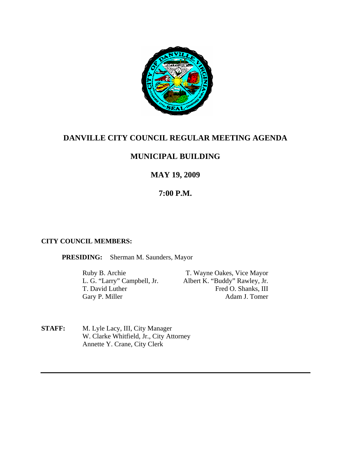

## **DANVILLE CITY COUNCIL REGULAR MEETING AGENDA**

## **MUNICIPAL BUILDING**

## **MAY 19, 2009**

## **7:00 P.M.**

#### **CITY COUNCIL MEMBERS:**

**PRESIDING:** Sherman M. Saunders, Mayor

Gary P. Miller

Ruby B. Archie T. Wayne Oakes, Vice Mayor L. G. "Larry" Campbell, Jr. Albert K. "Buddy" Rawley, Jr. T. David Luther Fred O. Shanks, III<br>Garv P. Miller Adam J. Tomer

**STAFF:** M. Lyle Lacy, III, City Manager W. Clarke Whitfield, Jr., City Attorney Annette Y. Crane, City Clerk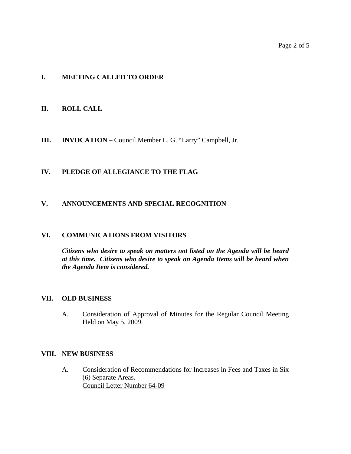#### **I. MEETING CALLED TO ORDER**

#### **II. ROLL CALL**

**III. INVOCATION** – Council Member L. G. "Larry" Campbell, Jr.

#### **IV. PLEDGE OF ALLEGIANCE TO THE FLAG**

#### **V. ANNOUNCEMENTS AND SPECIAL RECOGNITION**

#### **VI. COMMUNICATIONS FROM VISITORS**

*Citizens who desire to speak on matters not listed on the Agenda will be heard at this time. Citizens who desire to speak on Agenda Items will be heard when the Agenda Item is considered.* 

#### **VII. OLD BUSINESS**

A. Consideration of Approval of Minutes for the Regular Council Meeting Held on May 5, 2009.

#### **VIII. NEW BUSINESS**

A. Consideration of Recommendations for Increases in Fees and Taxes in Six (6) Separate Areas. Council Letter Number 64-09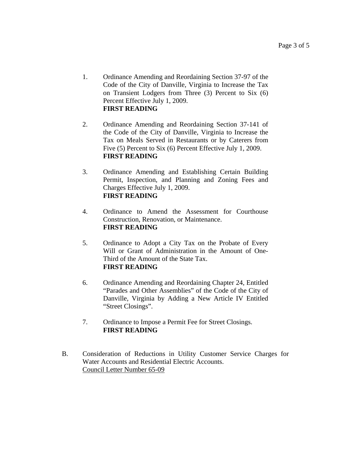- 1. Ordinance Amending and Reordaining Section 37-97 of the Code of the City of Danville, Virginia to Increase the Tax on Transient Lodgers from Three (3) Percent to Six (6) Percent Effective July 1, 2009. **FIRST READING**
- 2. Ordinance Amending and Reordaining Section 37-141 of the Code of the City of Danville, Virginia to Increase the Tax on Meals Served in Restaurants or by Caterers from Five (5) Percent to Six (6) Percent Effective July 1, 2009. **FIRST READING**
- 3. Ordinance Amending and Establishing Certain Building Permit, Inspection, and Planning and Zoning Fees and Charges Effective July 1, 2009. **FIRST READING**
- 4. Ordinance to Amend the Assessment for Courthouse Construction, Renovation, or Maintenance. **FIRST READING**
- 5. Ordinance to Adopt a City Tax on the Probate of Every Will or Grant of Administration in the Amount of One-Third of the Amount of the State Tax. **FIRST READING**
- 6. Ordinance Amending and Reordaining Chapter 24, Entitled "Parades and Other Assemblies" of the Code of the City of Danville, Virginia by Adding a New Article IV Entitled "Street Closings".
- 7. Ordinance to Impose a Permit Fee for Street Closings. **FIRST READING**
- B. Consideration of Reductions in Utility Customer Service Charges for Water Accounts and Residential Electric Accounts. Council Letter Number 65-09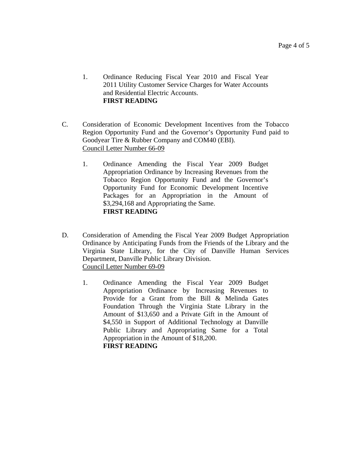- 1. Ordinance Reducing Fiscal Year 2010 and Fiscal Year 2011 Utility Customer Service Charges for Water Accounts and Residential Electric Accounts. **FIRST READING**
- C. Consideration of Economic Development Incentives from the Tobacco Region Opportunity Fund and the Governor's Opportunity Fund paid to Goodyear Tire & Rubber Company and COM40 (EBI). Council Letter Number 66-09
	- 1. Ordinance Amending the Fiscal Year 2009 Budget Appropriation Ordinance by Increasing Revenues from the Tobacco Region Opportunity Fund and the Governor's Opportunity Fund for Economic Development Incentive Packages for an Appropriation in the Amount of \$3,294,168 and Appropriating the Same. **FIRST READING**
- D. Consideration of Amending the Fiscal Year 2009 Budget Appropriation Ordinance by Anticipating Funds from the Friends of the Library and the Virginia State Library, for the City of Danville Human Services Department, Danville Public Library Division. Council Letter Number 69-09
	- 1. Ordinance Amending the Fiscal Year 2009 Budget Appropriation Ordinance by Increasing Revenues to Provide for a Grant from the Bill & Melinda Gates Foundation Through the Virginia State Library in the Amount of \$13,650 and a Private Gift in the Amount of \$4,550 in Support of Additional Technology at Danville Public Library and Appropriating Same for a Total Appropriation in the Amount of \$18,200. **FIRST READING**